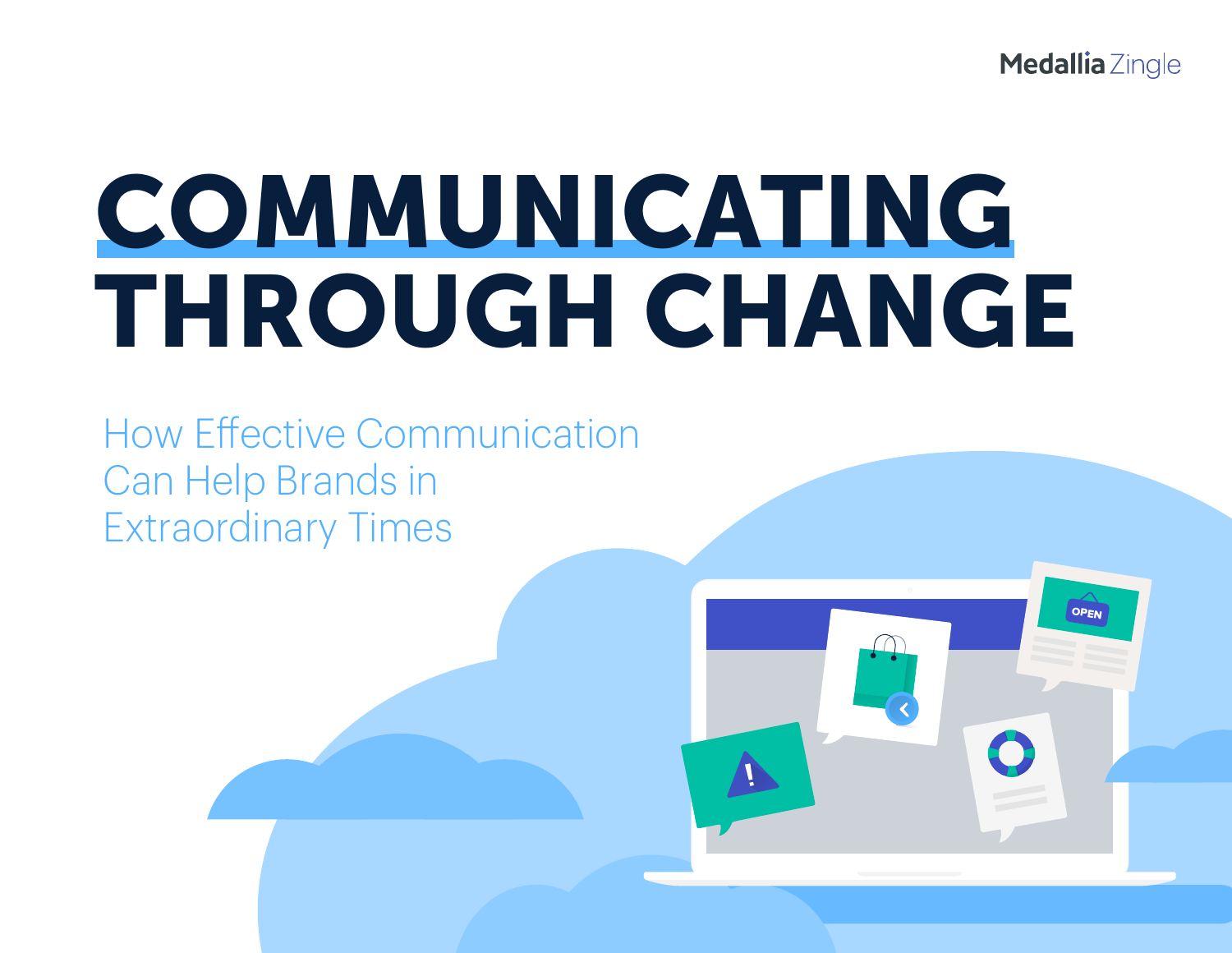Medallia Zingle

# **COMMUNICATING THROUGH CHANGE**

How Effective Communication Can Help Brands in Extraordinary Times

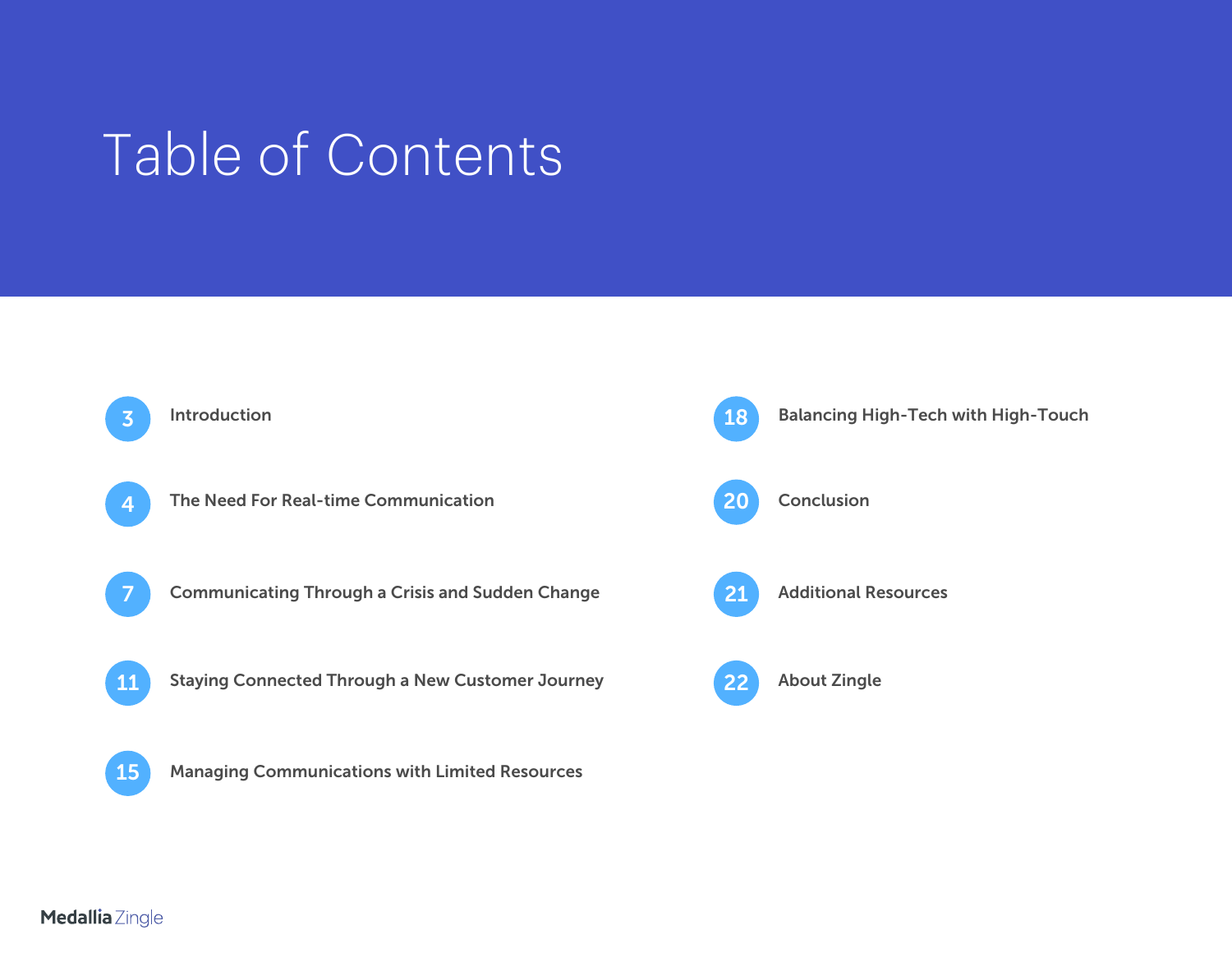## Table of Contents



#### Medallia Zingle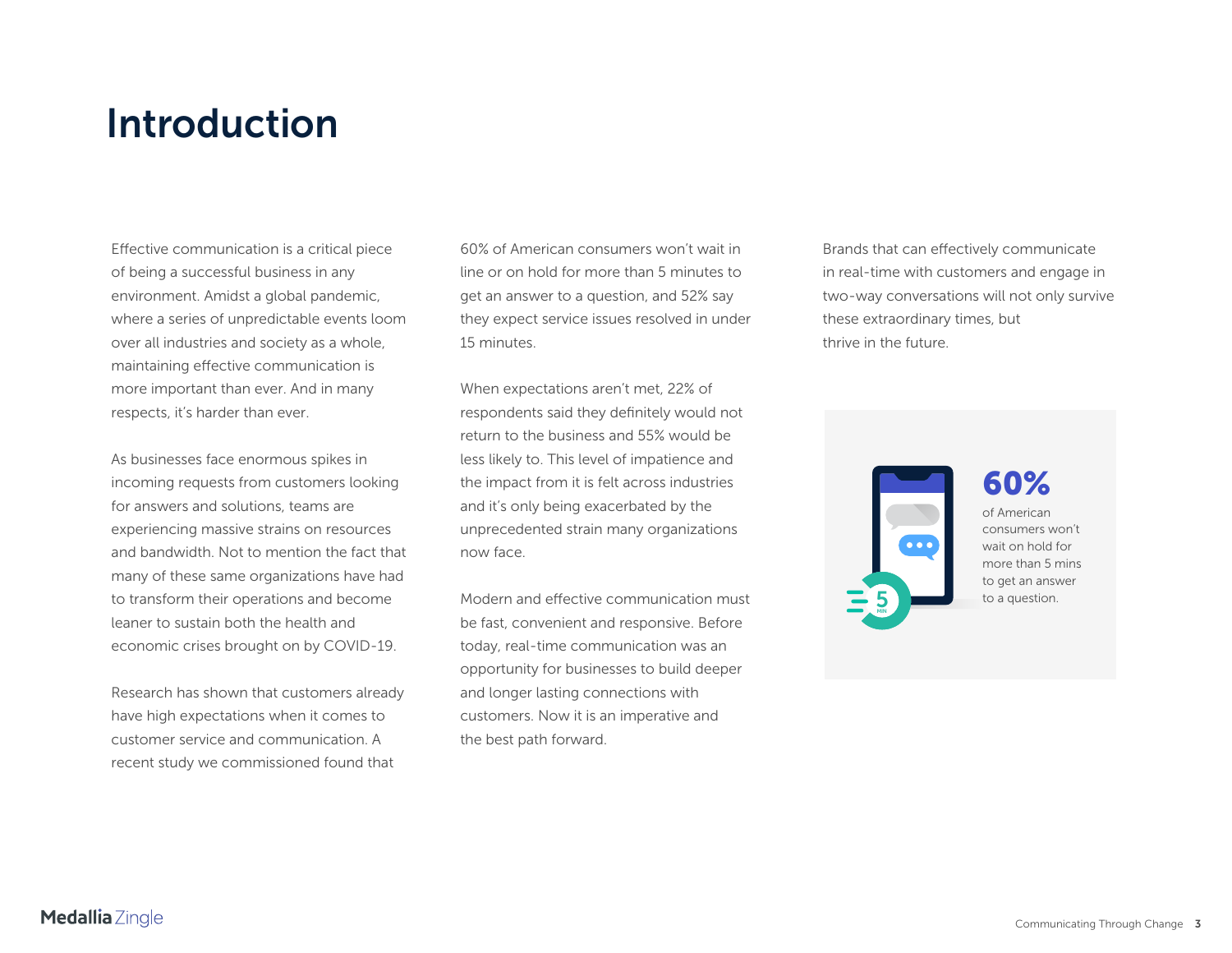## <span id="page-2-0"></span>**Introduction**

Effective communication is a critical piece of being a successful business in any environment. Amidst a global pandemic, where a series of unpredictable events loom over all industries and society as a whole, maintaining effective communication is more important than ever. And in many respects, it's harder than ever.

As businesses face enormous spikes in incoming requests from customers looking for answers and solutions, teams are experiencing massive strains on resources and bandwidth. Not to mention the fact that many of these same organizations have had to transform their operations and become leaner to sustain both the health and economic crises brought on by COVID-19.

Research has shown that customers already have high expectations when it comes to customer service and communication. A recent study we commissioned found that

60% of American consumers won't wait in line or on hold for more than 5 minutes to get an answer to a question, and 52% say they expect service issues resolved in under 15 minutes.

When expectations aren't met, 22% of respondents said they definitely would not return to the business and 55% would be less likely to. This level of impatience and the impact from it is felt across industries and it's only being exacerbated by the unprecedented strain many organizations now face.

Modern and effective communication must be fast, convenient and responsive. Before today, real-time communication was an opportunity for businesses to build deeper and longer lasting connections with customers. Now it is an imperative and the best path forward.

Brands that can effectively communicate in real-time with customers and engage in two-way conversations will not only survive these extraordinary times, but thrive in the future.



### **60%**

of American consumers won't wait on hold for more than 5 mins to get an answer to a question.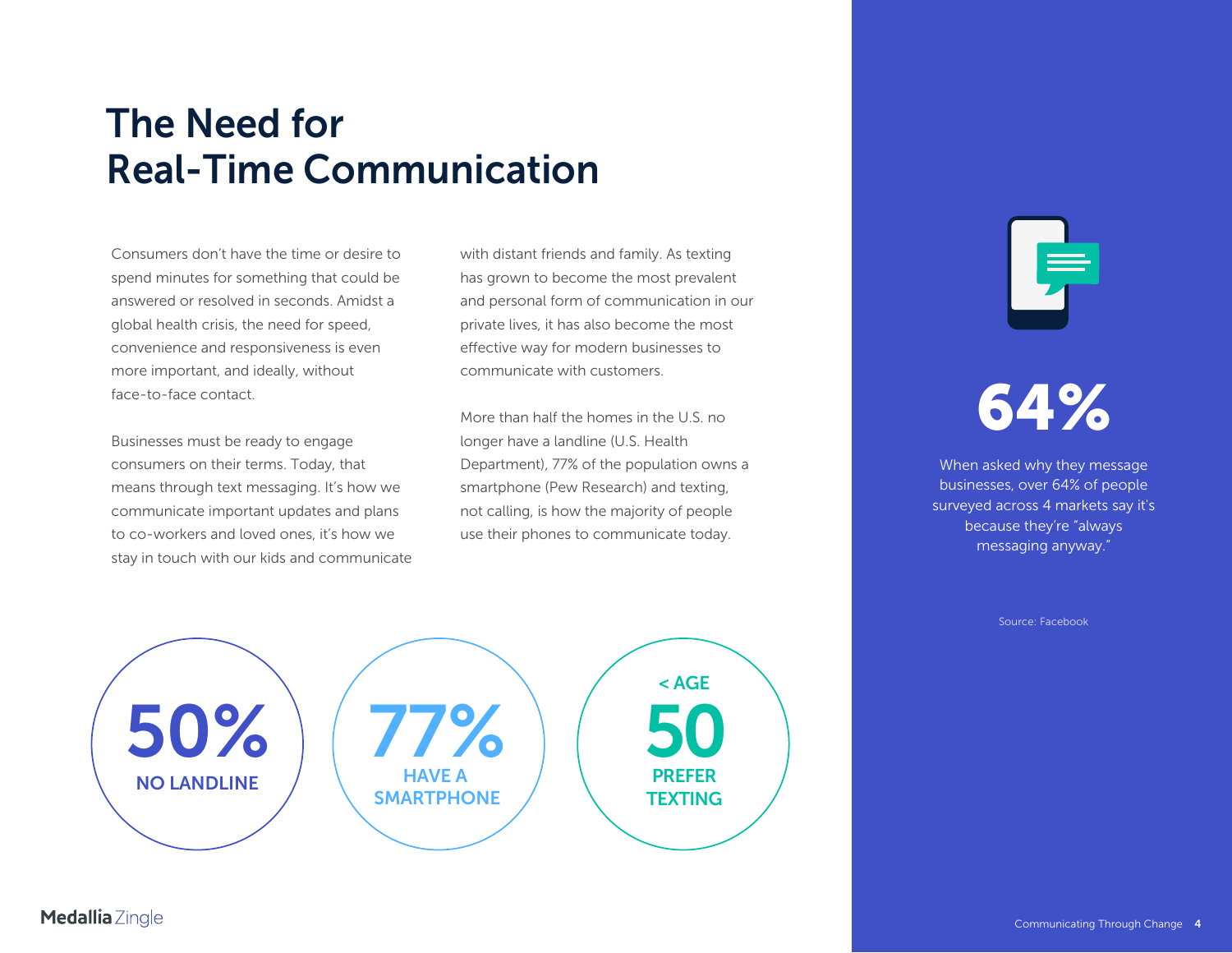## <span id="page-3-0"></span>**The Need forReal-Time Communication**

Consumers don't have the time or desire to spend minutes for something that could be answered or resolved in seconds. Amidst a global health crisis, the need for speed, convenience and responsiveness is even more important, and ideally, without face-to-face contact.

Businesses must be ready to engage consumers on their terms. Today, that means through text messaging. It's how we communicate important updates and plans to co-workers and loved ones, it's how we stay in touch with our kids and communicate with distant friends and family. As texting has grown to become the most prevalent and personal form of communication in our private lives, it has also become the most effective way for modern businesses to communicate with customers.

More than half the homes in the U.S. no longer have a landline (U.S. Health Department), 77% of the population owns a smartphone (Pew Research) and texting, not calling, is how the majority of people use their phones to communicate today.



## **64%**

When asked why they message businesses, over 64% of people surveyed across 4 markets say it's because they're "always messaging anyway."

Source: Facebook

**50%NO LANDLINE**



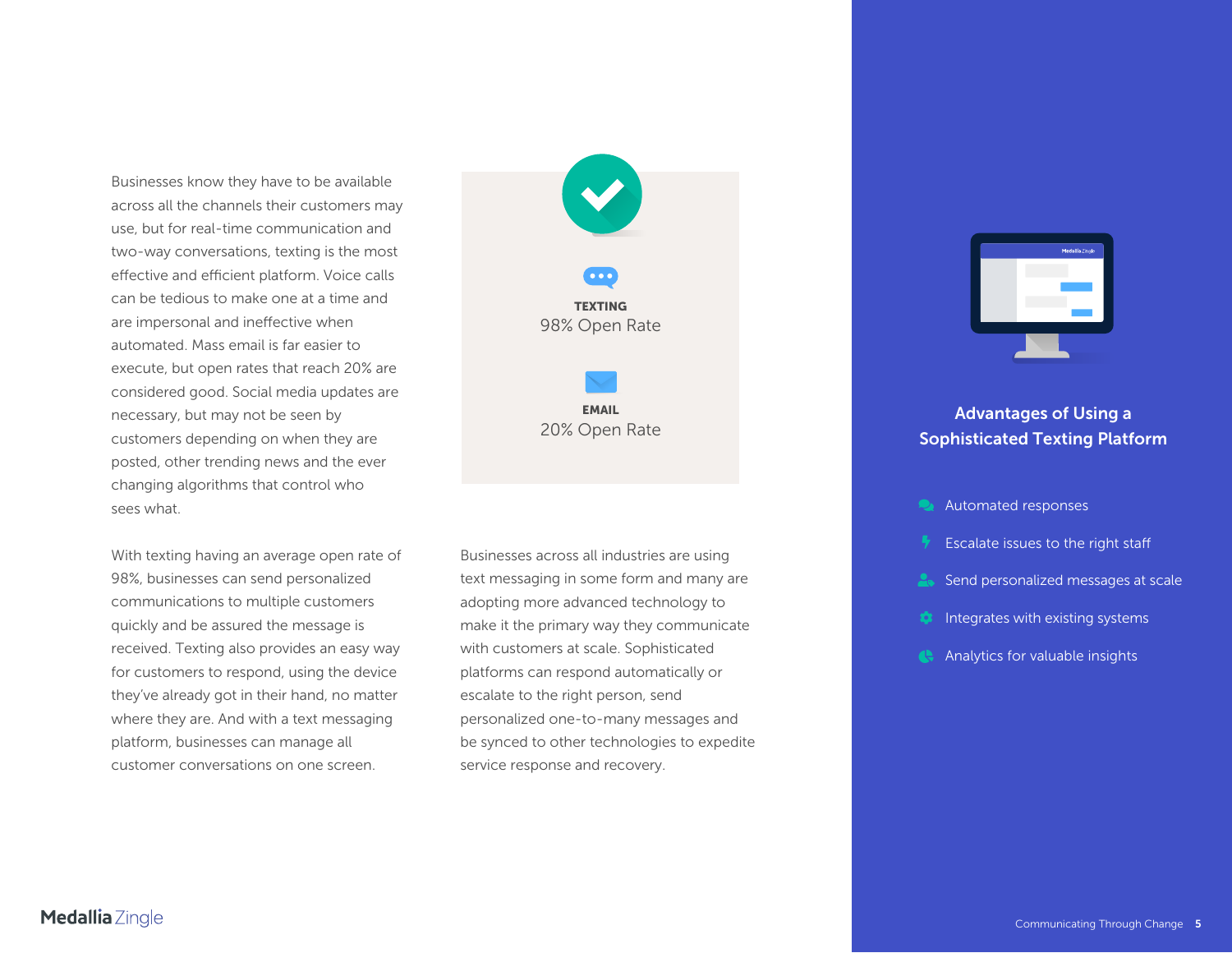Businesses know they have to be available across all the channels their customers may use, but for real-time communication and two-way conversations, texting is the most effective and efficient platform. Voice calls can be tedious to make one at a time and are impersonal and ineffective when automated. Mass email is far easier to execute, but open rates that reach 20% are considered good. Social media updates are necessary, but may not be seen by customers depending on when they are posted, other trending news and the ever changing algorithms that control who sees what.

With texting having an average open rate of 98%, businesses can send personalized communications to multiple customers quickly and be assured the message is received. Texting also provides an easy way for customers to respond, using the device they've already got in their hand, no matter where they are. And with a text messaging platform, businesses can manage all customer conversations on one screen.



**EMAIL**

Businesses across all industries are using text messaging in some form and many are adopting more advanced technology to make it the primary way they communicate with customers at scale. Sophisticated platforms can respond automatically or escalate to the right person, send personalized one-to-many messages and be synced to other technologies to expedite service response and recovery.



## **EMAIL**<br>20% Open Rate **Advantages of Using a Sophisticated Texting Platform**

- **Automated responses**
- Escalate issues to the right staff
- 2. Send personalized messages at scale
- Integrates with existing systems
- **Analytics for valuable insights**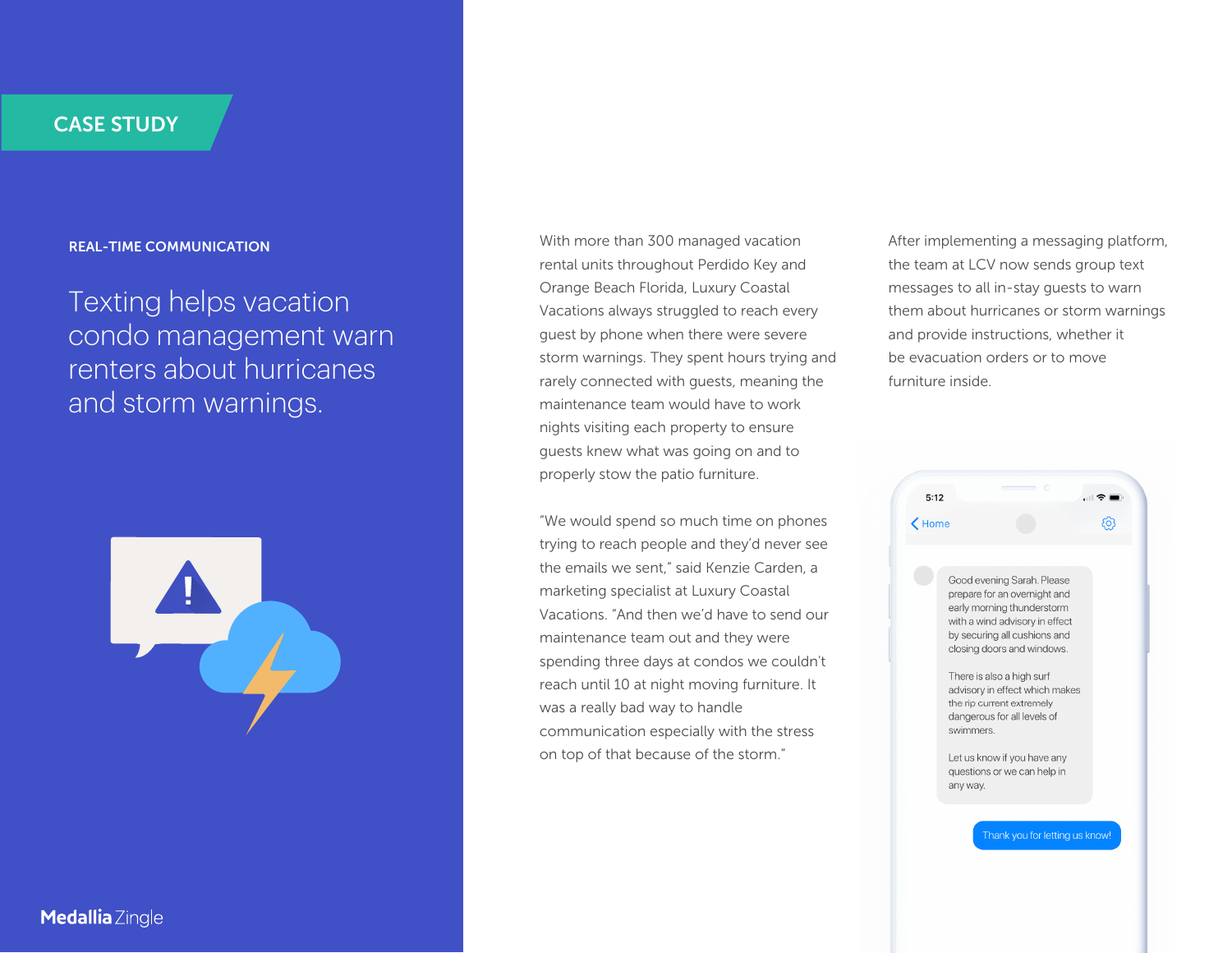#### **REAL-TIME COMMUNICATION**

Texting helps vacation condo management warn renters about hurricanes and storm warnings.



With more than 300 managed vacation rental units throughout Perdido Key and Orange Beach Florida, Luxury Coastal Vacations always struggled to reach every guest by phone when there were severe storm warnings. They spent hours trying and rarely connected with guests, meaning the maintenance team would have to work nights visiting each property to ensure guests knew what was going on and to properly stow the patio furniture.

"We would spend so much time on phones trying to reach people and they'd never see the emails we sent," said Kenzie Carden, a marketing specialist at Luxury Coastal Vacations. "And then we'd have to send our maintenance team out and they were spending three days at condos we couldn't reach until 10 at night moving furniture. It was a really bad way to handle communication especially with the stress on top of that because of the storm."

After implementing a messaging platform, the team at LCV now sends group text messages to all in-stay guests to warn them about hurricanes or storm warnings and provide instructions, whether it be evacuation orders or to move furniture inside.

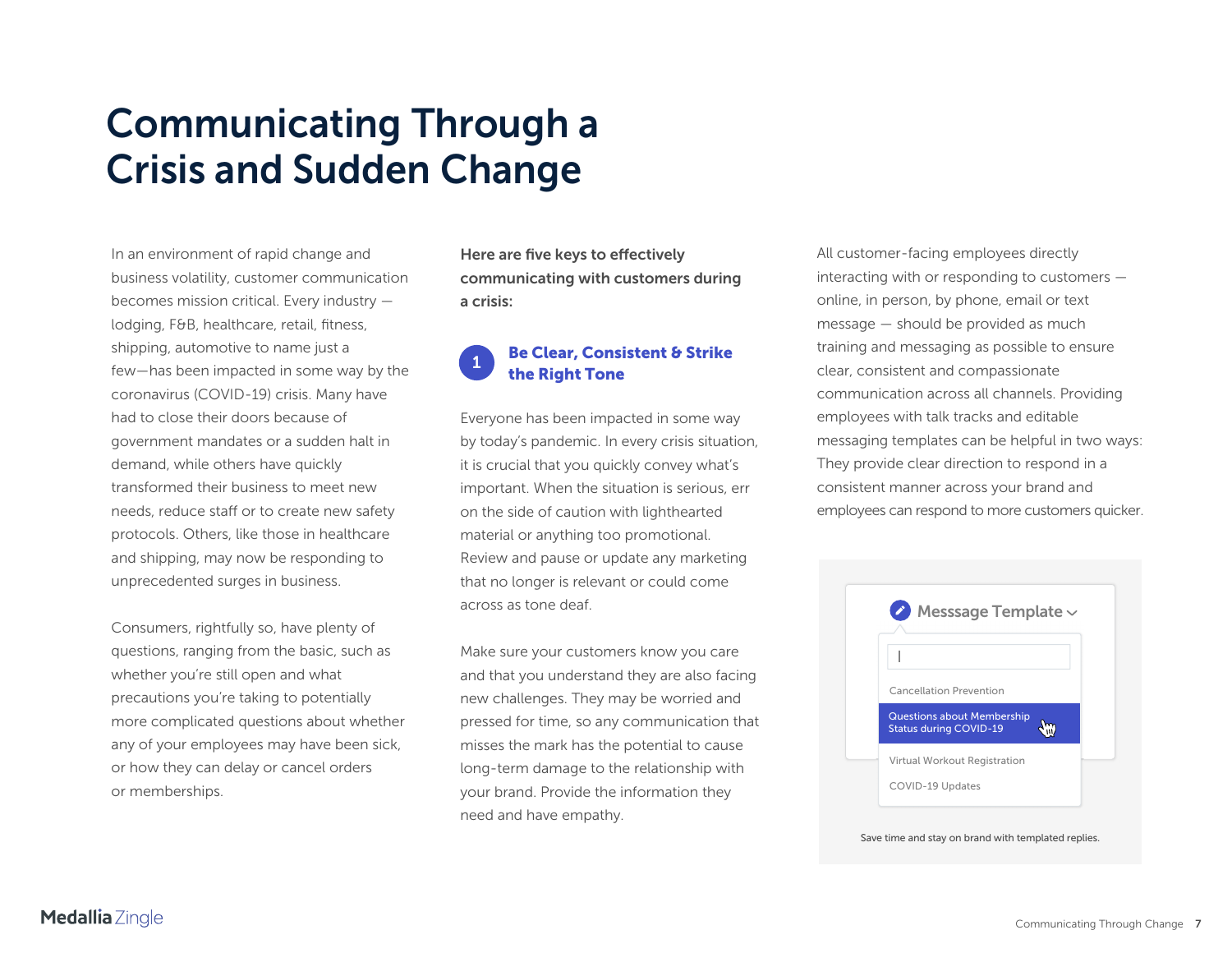## <span id="page-6-0"></span>**Communicating Through a Crisis and Sudden Change**

In an environment of rapid change and business volatility, customer communication becomes mission critical. Every industry lodging, F&B, healthcare, retail, fitness, shipping, automotive to name just a few—has been impacted in some way by the coronavirus (COVID-19) crisis. Many have had to close their doors because of government mandates or a sudden halt in demand, while others have quickly transformed their business to meet new needs, reduce staff or to create new safety protocols. Others, like those in healthcare and shipping, may now be responding to unprecedented surges in business.

Consumers, rightfully so, have plenty of questions, ranging from the basic, such as whether you're still open and what precautions you're taking to potentially more complicated questions about whether any of your employees may have been sick, or how they can delay or cancel orders or memberships.

**Here are five keys to effectively communicating with customers during a crisis:**

#### **1Be Clear, Consistent & Strike the Right Tone**

Everyone has been impacted in some way by today's pandemic. In every crisis situation, it is crucial that you quickly convey what's important. When the situation is serious, err on the side of caution with lighthearted material or anything too promotional. Review and pause or update any marketing that no longer is relevant or could come across as tone deaf.

Make sure your customers know you care and that you understand they are also facing new challenges. They may be worried and pressed for time, so any communication that misses the mark has the potential to cause long-term damage to the relationship with your brand. Provide the information they need and have empathy.

All customer-facing employees directly interacting with or responding to customers online, in person, by phone, email or text message — should be provided as much training and messaging as possible to ensure clear, consistent and compassionate communication across all channels. Providing employees with talk tracks and editable messaging templates can be helpful in two ways: They provide clear direction to respond in a consistent manner across your brand and employees can respond to more customers quicker.

| $\bullet$ Messsage Template $\sim$                                 |  |
|--------------------------------------------------------------------|--|
|                                                                    |  |
| <b>Cancellation Prevention</b>                                     |  |
| <b>Questions about Membership</b><br><b>Status during COVID-19</b> |  |
| Virtual Workout Registration                                       |  |
| COVID-19 Updates                                                   |  |

Save time and stay on brand with templated replies.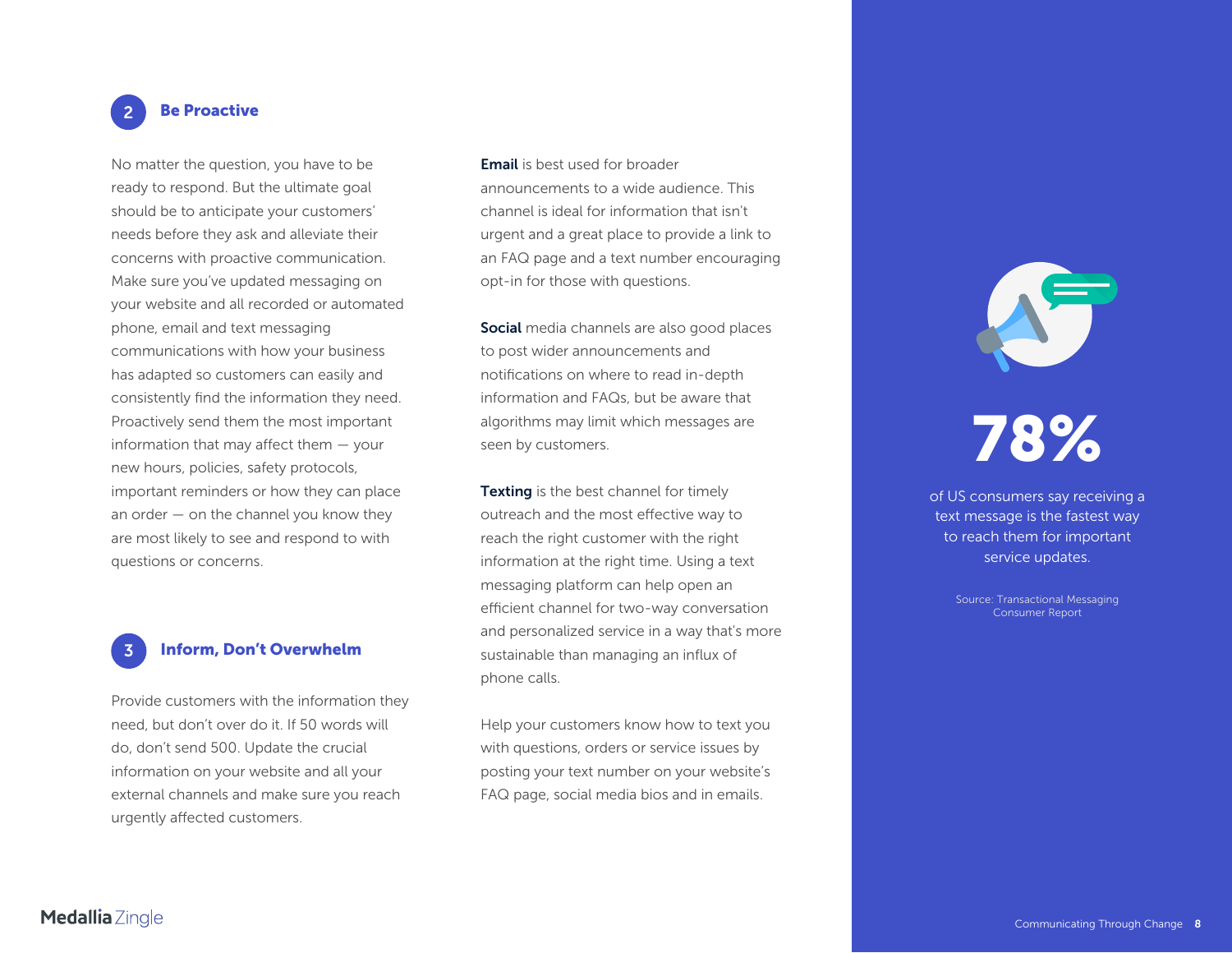#### **2Be Proactive**

No matter the question, you have to be ready to respond. But the ultimate goal should be to anticipate your customers' needs before they ask and alleviate their concerns with proactive communication. Make sure you've updated messaging on your website and all recorded or automated phone, email and text messaging communications with how your business has adapted so customers can easily and consistently find the information they need. Proactively send them the most important information that may affect them — your new hours, policies, safety protocols, important reminders or how they can place an order — on the channel you know they are most likely to see and respond to with questions or concerns.

#### **3Inform, Don't Overwhelm**

Provide customers with the information they need, but don't over do it. If 50 words will do, don't send 500. Update the crucial information on your website and all your external channels and make sure you reach urgently affected customers.

**Email** is best used for broader announcements to a wide audience. This channel is ideal for information that isn't urgent and a great place to provide a link to an FAQ page and a text number encouraging opt-in for those with questions.

**Social** media channels are also good places to post wider announcements and notifications on where to read in-depth information and FAQs, but be aware that algorithms may limit which messages are seen by customers.

**Texting** is the best channel for timely outreach and the most effective way to reach the right customer with the right information at the right time. Using a text messaging platform can help open an efficient channel for two-way conversation and personalized service in a way that's more sustainable than managing an influx of phone calls.

Help your customers know how to text you with questions, orders or service issues by posting your text number on your website's FAQ page, social media bios and in emails.

## **78%**

of US consumers say receiving a text message is the fastest way to reach them for important service updates.

> Source: Transactional Messaging Consumer Report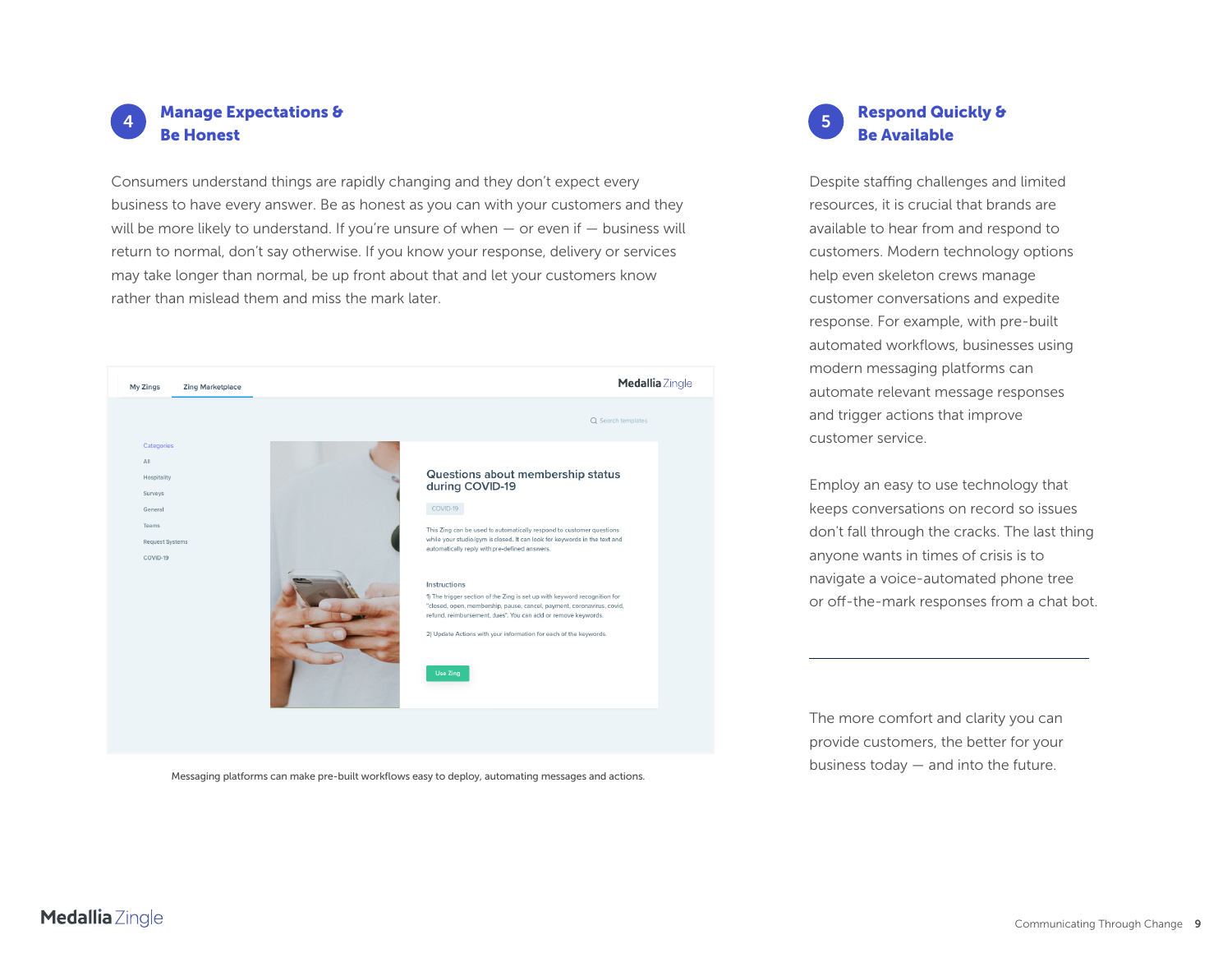

Consumers understand things are rapidly changing and they don't expect every business to have every answer. Be as honest as you can with your customers and they will be more likely to understand. If you're unsure of when  $-$  or even if  $-$  business will return to normal, don't say otherwise. If you know your response, delivery or services may take longer than normal, be up front about that and let your customers know rather than mislead them and miss the mark later.



Messaging platforms can make pre-built workflows easy to deploy, automating messages and actions.

#### **5 Respond Quickly & Be Available**

Despite staffing challenges and limited resources, it is crucial that brands are available to hear from and respond to customers. Modern technology options help even skeleton crews manage customer conversations and expedite response. For example, with pre-built automated workflows, businesses using modern messaging platforms can automate relevant message responses and trigger actions that improve customer service.

Employ an easy to use technology that keeps conversations on record so issues don't fall through the cracks. The last thing anyone wants in times of crisis is to navigate a voice-automated phone tree or off-the-mark responses from a chat bot.

The more comfort and clarity you can provide customers, the better for your business today — and into the future.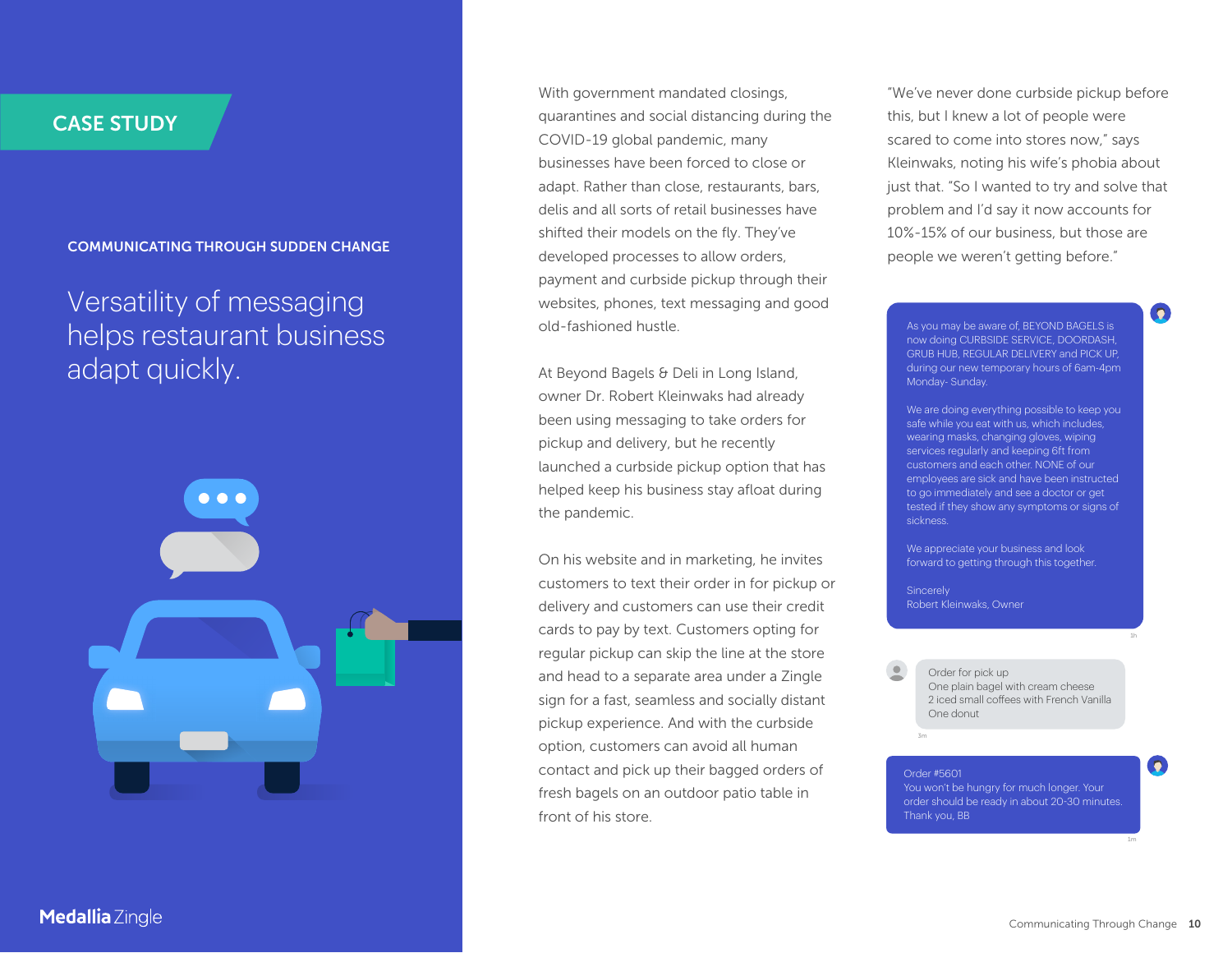**COMMUNICATING THROUGH SUDDEN CHANGE**

Versatility of messaging helps restaurant business adapt quickly.



With government mandated closings, quarantines and social distancing during the COVID-19 global pandemic, many businesses have been forced to close or adapt. Rather than close, restaurants, bars, delis and all sorts of retail businesses have shifted their models on the fly. They've developed processes to allow orders, payment and curbside pickup through their websites, phones, text messaging and good old-fashioned hustle.

At Beyond Bagels & Deli in Long Island, owner Dr. Robert Kleinwaks had already been using messaging to take orders for pickup and delivery, but he recently launched a curbside pickup option that has helped keep his business stay afloat during the pandemic.

On his website and in marketing, he invites customers to text their order in for pickup or delivery and customers can use their credit cards to pay by text. Customers opting for regular pickup can skip the line at the store and head to a separate area under a Zingle sign for a fast, seamless and socially distant pickup experience. And with the curbside option, customers can avoid all human contact and pick up their bagged orders of fresh bagels on an outdoor patio table in front of his store.

"We've never done curbside pickup before this, but I knew a lot of people were scared to come into stores now," says Kleinwaks, noting his wife's phobia about just that. "So I wanted to try and solve that problem and I'd say it now accounts for 10%-15% of our business, but those are people we weren't getting before."

As you may be aware of, BEYOND BAGELS is now doing CURBSIDE SERVICE, DOORDASH, GRUB HUB, REGULAR DELIVERY and PICK UP, during our new temporary hours of 6am-4pm Monday- Sunday.

 $\boldsymbol{\Omega}$ 

We are doing everything possible to keep you safe while you eat with us, which includes, wearing masks, changing gloves, wiping services regularly and keeping 6ft from customers and each other. NONE of our employees are sick and have been instructed to go immediately and see a doctor or get tested if they show any symptoms or signs of sickness.

We appreciate your business and look forward to getting through this together.

**Sincerely** Robert Kleinwaks, Owner

Order #5601

Order for pick up One plain bagel with cream cheese 2 iced small coffees with French VanillaOne donut

You won't be hungry for much longer. Your order should be ready in about 20-30 minutes. Thank you, BB

 $\boldsymbol{\Omega}$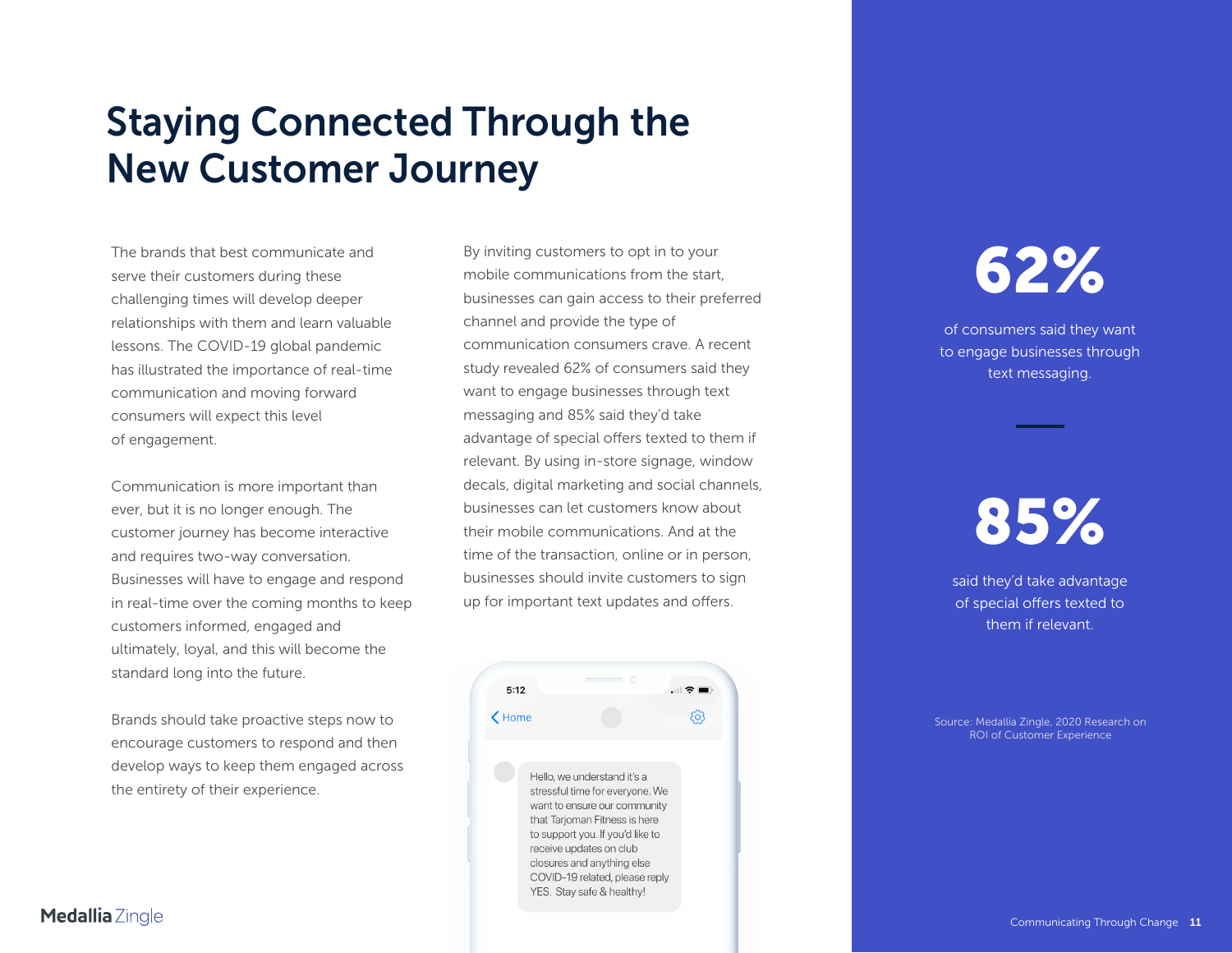## <span id="page-10-0"></span>**Staying Connected Through the New Customer Journey**

The brands that best communicate and serve their customers during these challenging times will develop deeper relationships with them and learn valuable lessons. The COVID-19 global pandemic has illustrated the importance of real-time communication and moving forward consumers will expect this level of engagement.

Communication is more important than ever, but it is no longer enough. The customer journey has become interactive and requires two-way conversation. Businesses will have to engage and respond in real-time over the coming months to keep customers informed, engaged and ultimately, loyal, and this will become the standard long into the future.

Brands should take proactive steps now to encourage customers to respond and then develop ways to keep them engaged across the entirety of their experience.

By inviting customers to opt in to your mobile communications from the start, businesses can gain access to their preferred channel and provide the type of communication consumers crave. A recent study revealed 62% of consumers said they want to engage businesses through text messaging and 85% said they'd take advantage of special offers texted to them if relevant. By using in-store signage, window decals, digital marketing and social channels, businesses can let customers know about their mobile communications. And at the time of the transaction, online or in person, businesses should invite customers to sign up for important text updates and offers.



## **62%**

of consumers said they want to engage businesses through text messaging.

**85%**

said they'd take advantage of special offers texted to them if relevant.

[Source: Medallia Zingle, 2020 Research on](https://www.zingle.com/new-study-customer-service-in-the-age-of-artificial-intelligence/)  ROI of Customer Experience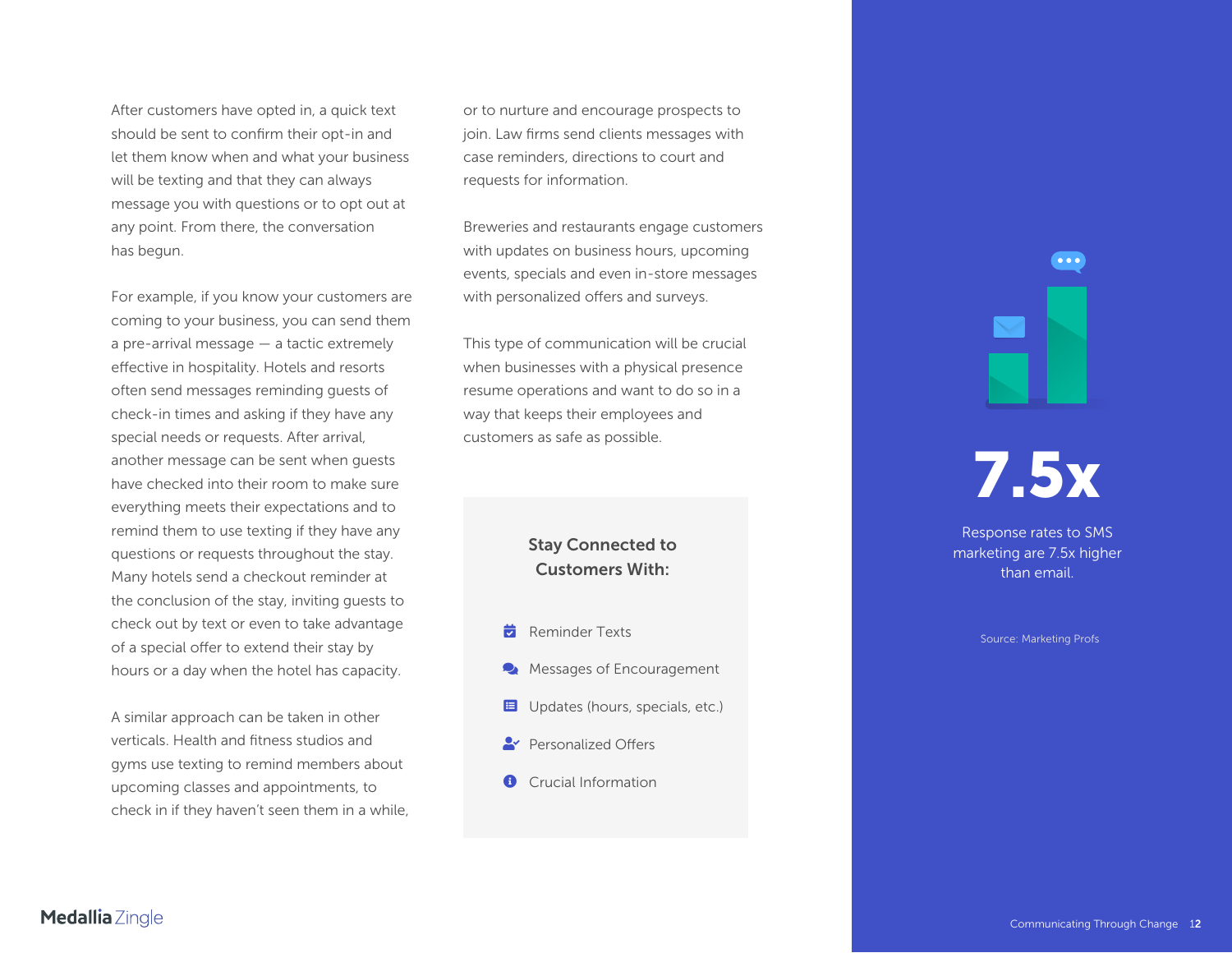After customers have opted in, a quick text should be sent to confirm their opt-in and let them know when and what your business will be texting and that they can always message you with questions or to opt out at any point. From there, the conversation has begun.

For example, if you know your customers are coming to your business, you can send them a pre-arrival message — a tactic extremely effective in hospitality. Hotels and resorts often send messages reminding guests of check-in times and asking if they have any special needs or requests. After arrival, another message can be sent when guests have checked into their room to make sure everything meets their expectations and to remind them to use texting if they have any questions or requests throughout the stay. Many hotels send a checkout reminder at the conclusion of the stay, inviting guests to check out by text or even to take advantage of a special offer to extend their stay by hours or a day when the hotel has capacity.

A similar approach can be taken in other verticals. Health and fitness studios and gyms use texting to remind members about upcoming classes and appointments, to check in if they haven't seen them in a while,

or to nurture and encourage prospects to join. Law firms send clients messages with case reminders, directions to court and requests for information.

Breweries and restaurants engage customers with updates on business hours, upcoming events, specials and even in-store messages with personalized offers and surveys.

This type of communication will be crucial when businesses with a physical presence resume operations and want to do so in a way that keeps their employees and customers as safe as possible.

> **Stay Connected to Customers With:**

- Reminder Texts
- Messages of Encouragement  $\bullet$
- **E** Updates (hours, specials, etc.)
- **Personalized Offers**
- **O** Crucial Information

**7.5x**

 $\bullet\bullet\bullet$ 

Response rates to SMS marketing are 7.5x higher than email.

Source: Marketing Profs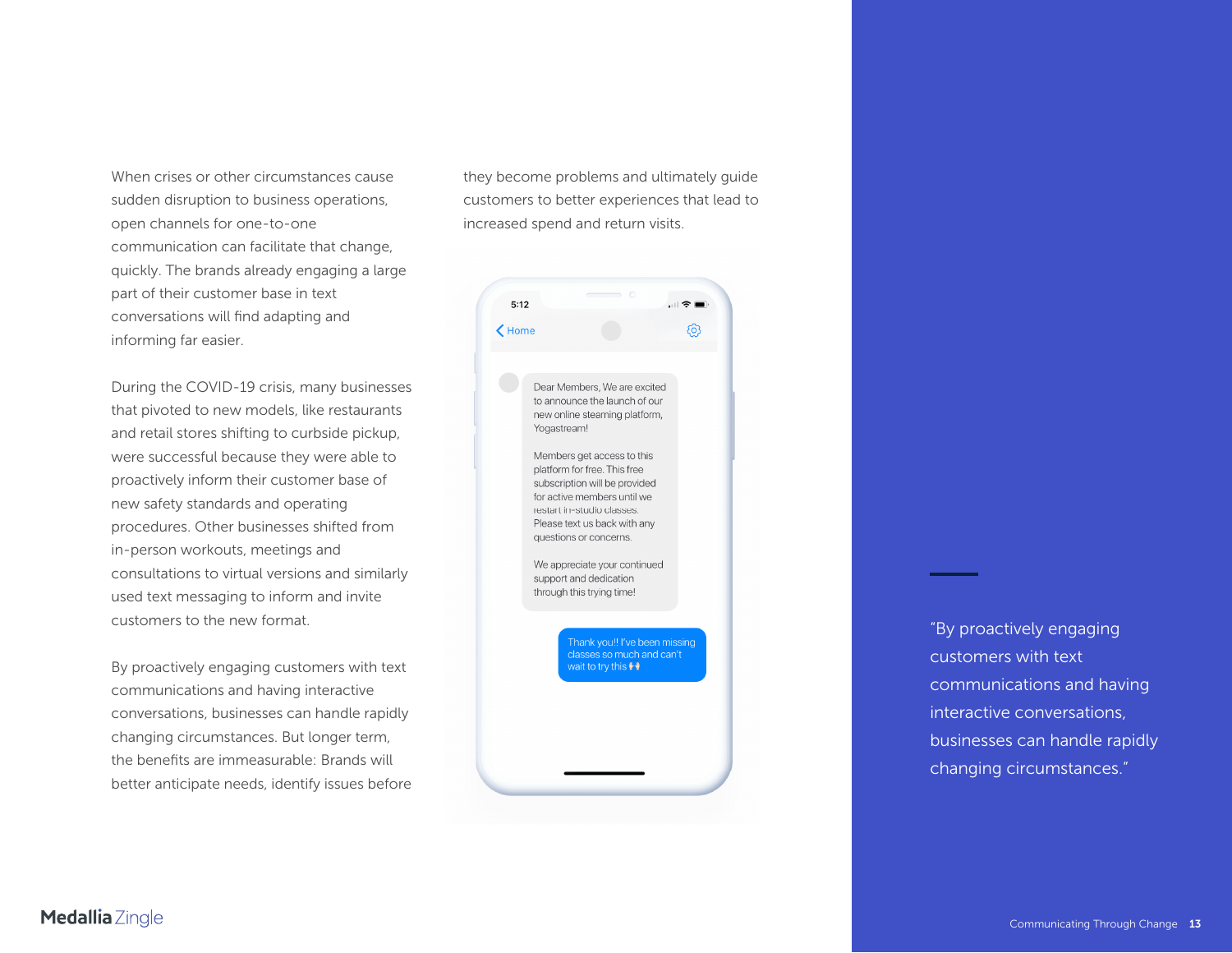When crises or other circumstances cause sudden disruption to business operations, open channels for one-to-one communication can facilitate that change, quickly. The brands already engaging a large part of their customer base in text conversations will find adapting and informing far easier.

During the COVID-19 crisis, many businesses that pivoted to new models, like restaurants and retail stores shifting to curbside pickup, were successful because they were able to proactively inform their customer base of new safety standards and operating procedures. Other businesses shifted from in-person workouts, meetings and consultations to virtual versions and similarly used text messaging to inform and invite customers to the new format.

By proactively engaging customers with text communications and having interactive conversations, businesses can handle rapidly changing circumstances. But longer term, the benefits are immeasurable: Brands will better anticipate needs, identify issues before they become problems and ultimately guide customers to better experiences that lead to increased spend and return visits.



"By proactively engaging customers with text communications and having interactive conversations, businesses can handle rapidly changing circumstances."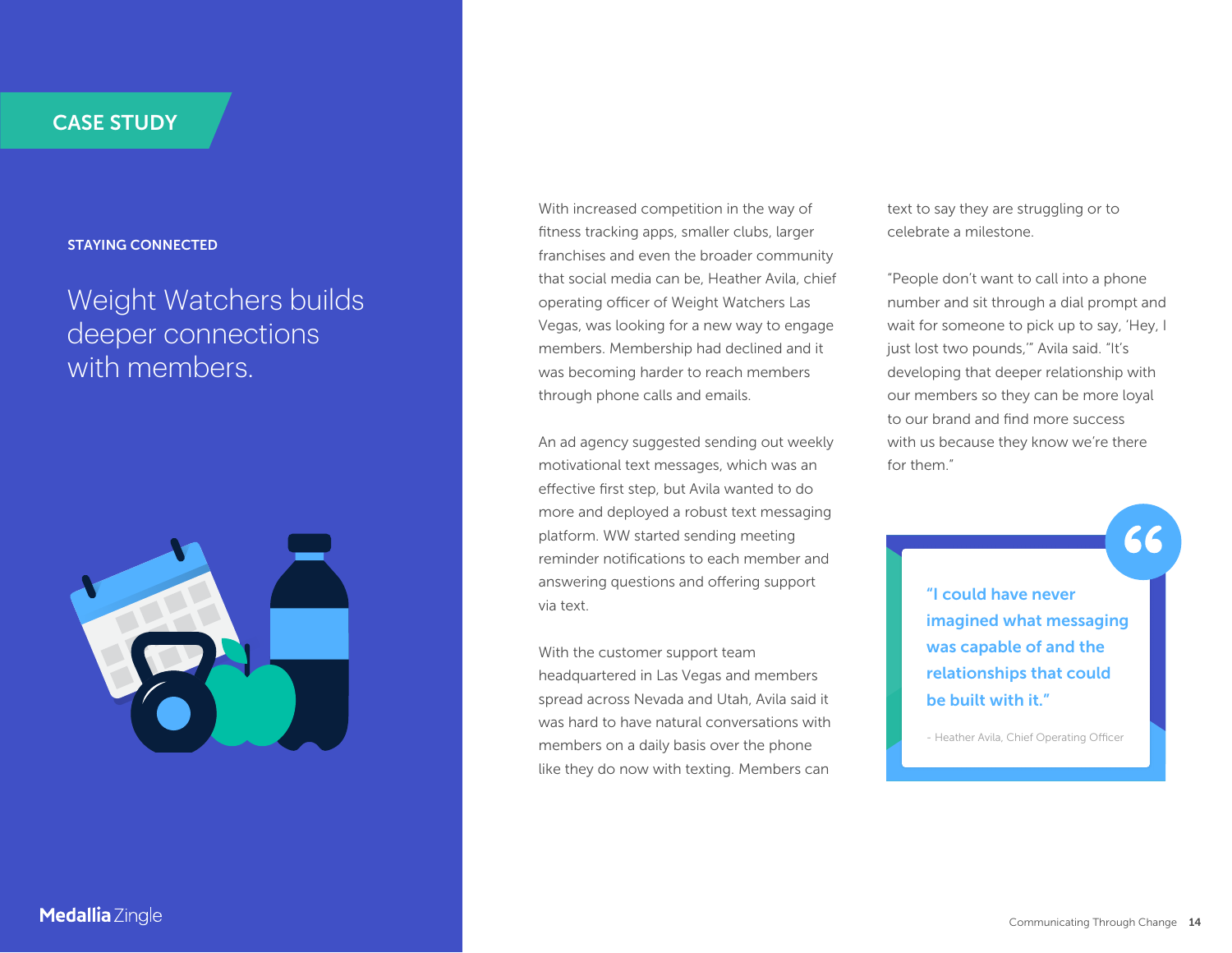#### **STAYING CONNECTED**

### Weight Watchers builds deeper connections with members.



With increased competition in the way of fitness tracking apps, smaller clubs, larger franchises and even the broader community that social media can be, Heather Avila, chief operating officer of Weight Watchers Las Vegas, was looking for a new way to engage members. Membership had declined and it was becoming harder to reach members through phone calls and emails.

An ad agency suggested sending out weekly motivational text messages, which was an effective first step, but Avila wanted to do more and deployed a robust text messaging platform. WW started sending meeting reminder notifications to each member and answering questions and offering support via text.

With the customer support team headquartered in Las Vegas and members spread across Nevada and Utah, Avila said it was hard to have natural conversations with members on a daily basis over the phone like they do now with texting. Members can

text to say they are struggling or to celebrate a milestone.

"People don't want to call into a phone number and sit through a dial prompt and wait for someone to pick up to say, 'Hey, I just lost two pounds,'" Avila said. "It's developing that deeper relationship with our members so they can be more loyal to our brand and find more success with us because they know we're there for them."

> **"I could have never imagined what messaging was capable of and the relationships that could be built with it."**

- Heather Avila, Chief Operating Officer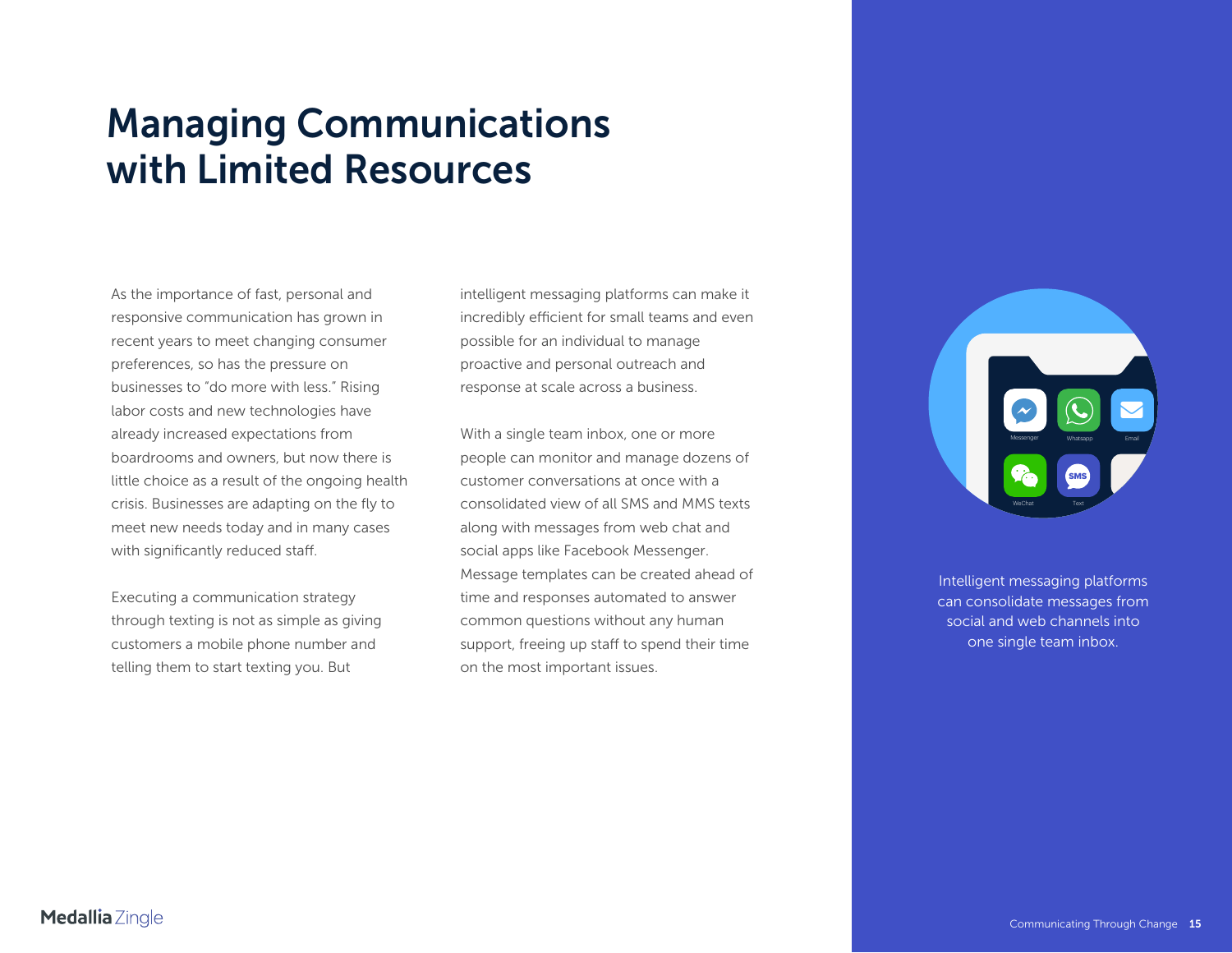## <span id="page-14-0"></span>**Managing Communications with Limited Resources**

As the importance of fast, personal and responsive communication has grown in recent years to meet changing consumer preferences, so has the pressure on businesses to "do more with less." Rising labor costs and new technologies have already increased expectations from boardrooms and owners, but now there is little choice as a result of the ongoing health crisis. Businesses are adapting on the fly to meet new needs today and in many cases with significantly reduced staff.

Executing a communication strategy through texting is not as simple as giving customers a mobile phone number and telling them to start texting you. But

intelligent messaging platforms can make it incredibly efficient for small teams and even possible for an individual to manage proactive and personal outreach and response at scale across a business.

With a single team inbox, one or more people can monitor and manage dozens of customer conversations at once with a consolidated view of all SMS and MMS texts along with messages from web chat and social apps like Facebook Messenger. Message templates can be created ahead of time and responses automated to answer common questions without any human support, freeing up staff to spend their time on the most important issues.



Intelligent messaging platforms can consolidate messages from social and web channels into one single team inbox.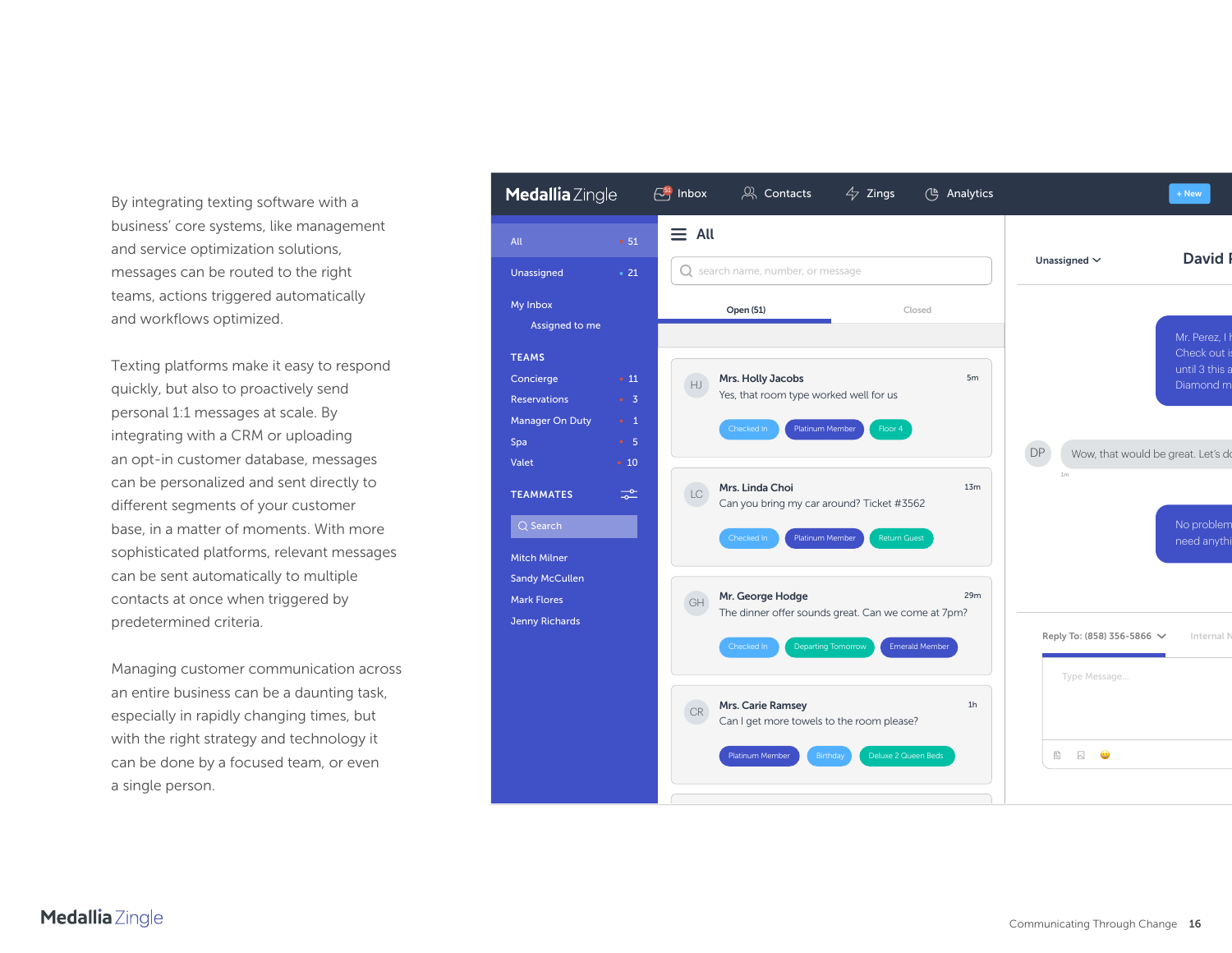By integrating texting software with a business' core systems, like management and service optimization solutions, messages can be routed to the right teams, actions triggered automatically and workflows optimized.

Texting platforms make it easy to respond quickly, but also to proactively send personal 1:1 messages at scale. By integrating with a CRM or uploading an opt-in customer database, messages can be personalized and sent directly to different segments of your customer base, in a matter of moments. With more sophisticated platforms, relevant messages can be sent automatically to multiple contacts at once when triggered by predetermined criteria.

Managing customer communication across an entire business can be a daunting task, especially in rapidly changing times, but with the right strategy and technology it can be done by a focused team, or even a single person.

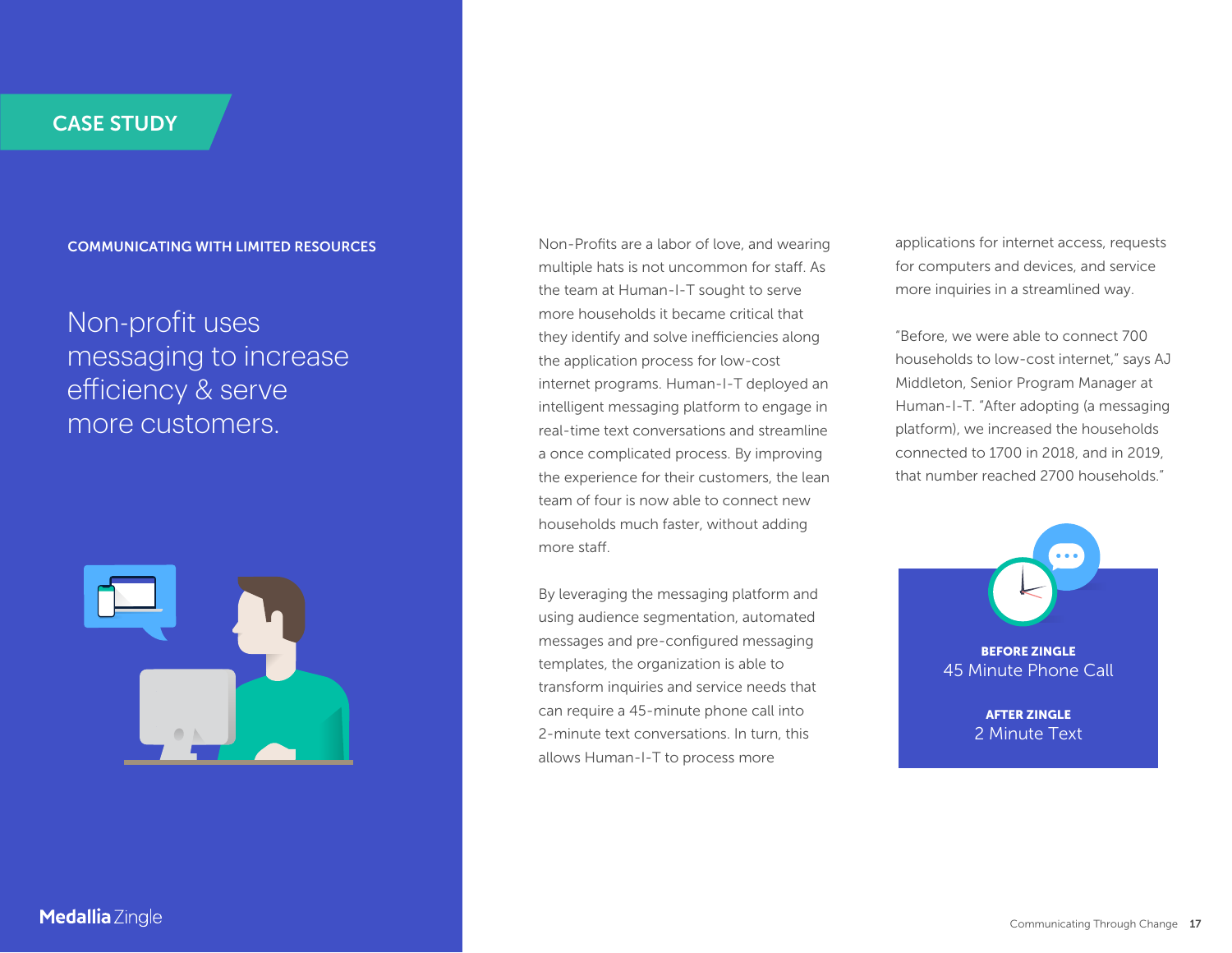#### **COMMUNICATING WITH LIMITED RESOURCES**

### Non-profit uses messaging to increase <sup>e</sup>fficiency & serve more customers.



multiple hats is not uncommon for staff. As the team at Human-I-T sought to serve more households it became critical that they identify and solve inefficiencies along the application process for low-cost internet programs. Human-I-T deployed an intelligent messaging platform to engage in real-time text conversations and streamline a once complicated process. By improving the experience for their customers, the lean team of four is now able to connect new households much faster, without adding more staff.

By leveraging the messaging platform and using audience segmentation, automated messages and pre-configured messaging templates, the organization is able to transform inquiries and service needs that can require a 45-minute phone call into 2-minute text conversations. In turn, this allows Human-I-T to process more

**S S Example 20 Non-Profits are a labor of love, and wearing <b>applications for internet access, requests** for computers and devices, and service more inquiries in a streamlined way.

> "Before, we were able to connect 700 households to low-cost internet," says AJ Middleton, Senior Program Manager at Human-I-T. "After adopting (a messaging platform), we increased the households connected to 1700 in 2018, and in 2019, that number reached 2700 households."

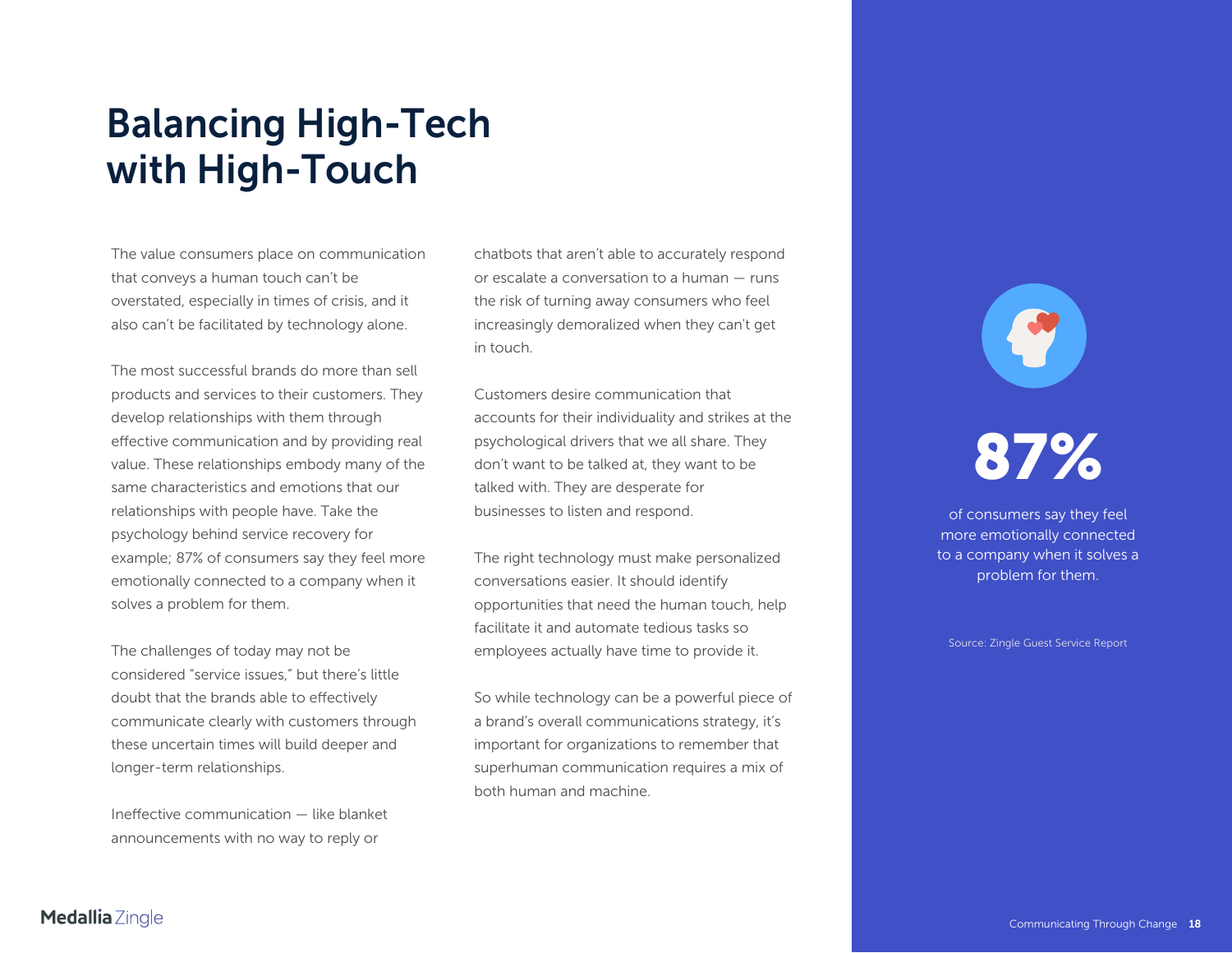## <span id="page-17-0"></span>**Balancing High-Tech with High-Touch**

The value consumers place on communication that conveys a human touch can't be overstated, especially in times of crisis, and it also can't be facilitated by technology alone.

The most successful brands do more than sell products and services to their customers. They develop relationships with them through effective communication and by providing real value. These relationships embody many of the same characteristics and emotions that our relationships with people have. Take the psychology behind service recovery for example; 87% of consumers say they feel more emotionally connected to a company when it solves a problem for them.

The challenges of today may not be considered "service issues," but there's little doubt that the brands able to effectively communicate clearly with customers through these uncertain times will build deeper and longer-term relationships.

Ineffective communication — like blanket announcements with no way to reply or

chatbots that aren't able to accurately respond or escalate a conversation to a human — runs the risk of turning away consumers who feel increasingly demoralized when they can't get in touch.

Customers desire communication that accounts for their individuality and strikes at the psychological drivers that we all share. They don't want to be talked at, they want to be talked with. They are desperate for businesses to listen and respond.

The right technology must make personalized conversations easier. It should identify opportunities that need the human touch, help facilitate it and automate tedious tasks so employees actually have time to provide it.

So while technology can be a powerful piece of a brand's overall communications strategy, it's important for organizations to remember that superhuman communication requires a mix of both human and machine.

## **87%**

of consumers say they feel more emotionally connected to a company when it solves a problem for them.

Source: Zingle Guest Service Report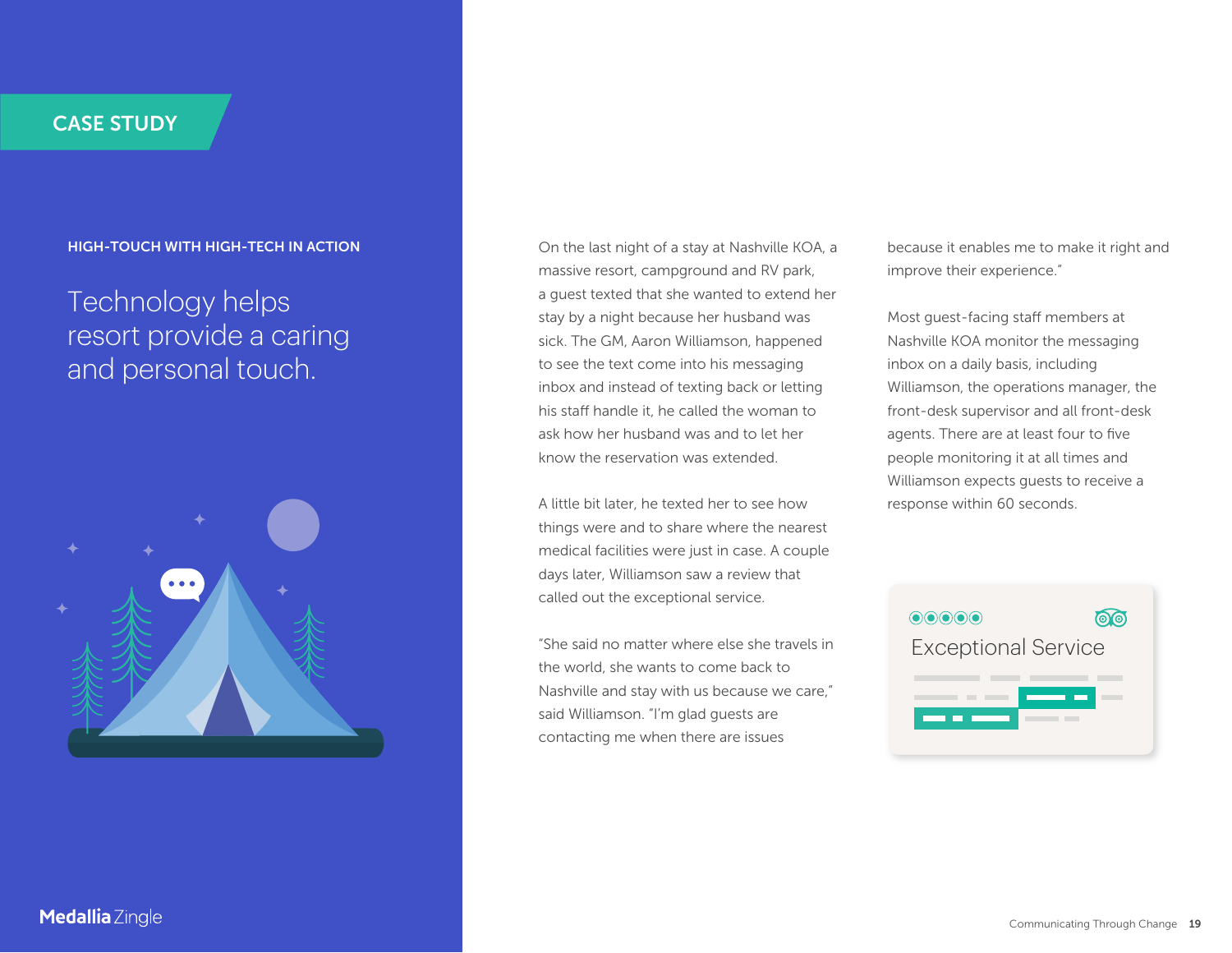#### **HIGH-TOUCH WITH HIGH-TECH IN ACTION**

### Technology helps resort provide a caring and personal touch.



On the last night of a stay at Nashville KOA, a massive resort, campground and RV park, a guest texted that she wanted to extend her stay by a night because her husband was sick. The GM, Aaron Williamson, happened to see the text come into his messaging inbox and instead of texting back or letting his staff handle it, he called the woman to ask how her husband was and to let her know the reservation was extended.

A little bit later, he texted her to see how things were and to share where the nearest medical facilities were just in case. A couple days later, Williamson saw a review that called out the exceptional service.

"She said no matter where else she travels in the world, she wants to come back to Nashville and stay with us because we care," said Williamson. "I'm glad guests are contacting me when there are issues

because it enables me to make it right and improve their experience."

Most guest-facing staff members at Nashville KOA monitor the messaging inbox on a daily basis, including Williamson, the operations manager, the front-desk supervisor and all front-desk agents. There are at least four to five people monitoring it at all times and Williamson expects guests to receive a response within 60 seconds.

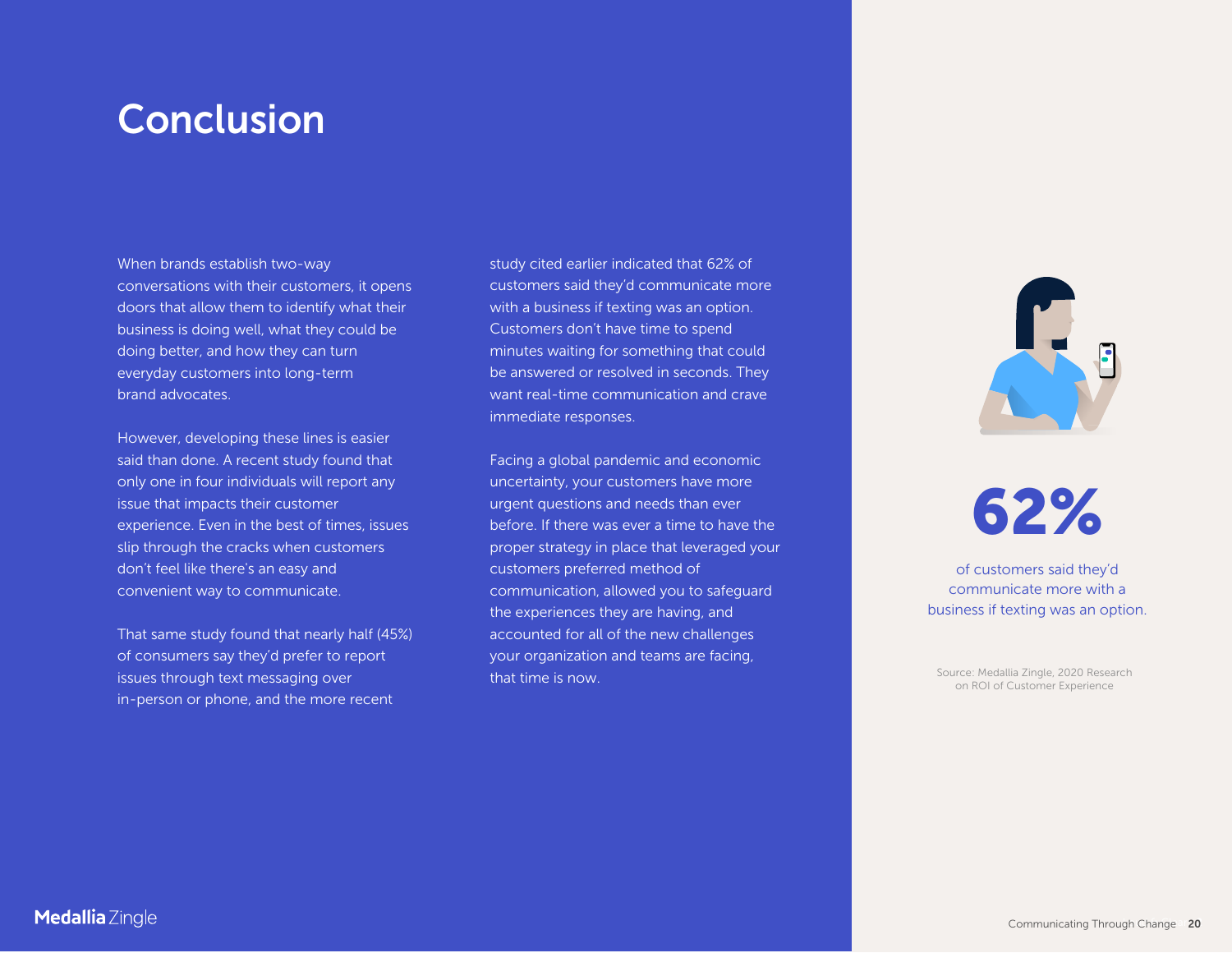## <span id="page-19-0"></span>**Conclusion**

When brands establish two-way conversations with their customers, it opens doors that allow them to identify what their business is doing well, what they could be doing better, and how they can turn everyday customers into long-term brand advocates.

However, developing these lines is easier said than done. A recent study found that only one in four individuals will report any issue that impacts their customer experience. Even in the best of times, issues slip through the cracks when customers don't feel like there's an easy and convenient way to communicate.

That same study found that nearly half (45%) of consumers say they'd prefer to report issues through text messaging over in-person or phone, and the more recent

study cited earlier indicated that 62% of customers said they'd communicate more with a business if texting was an option. Customers don't have time to spend minutes waiting for something that could be answered or resolved in seconds. They want real-time communication and crave immediate responses.

Facing a global pandemic and economic uncertainty, your customers have more urgent questions and needs than ever before. If there was ever a time to have the proper strategy in place that leveraged your customers preferred method of communication, allowed you to safeguard the experiences they are having, and accounted for all of the new challenges your organization and teams are facing, that time is now.



## **62%**

of customers said they'd communicate more with a business if texting was an option.

[Source: Medallia Zingle, 2020 Research](https://www.zingle.com/new-study-customer-service-in-the-age-of-artificial-intelligence/)  on ROI of Customer Experience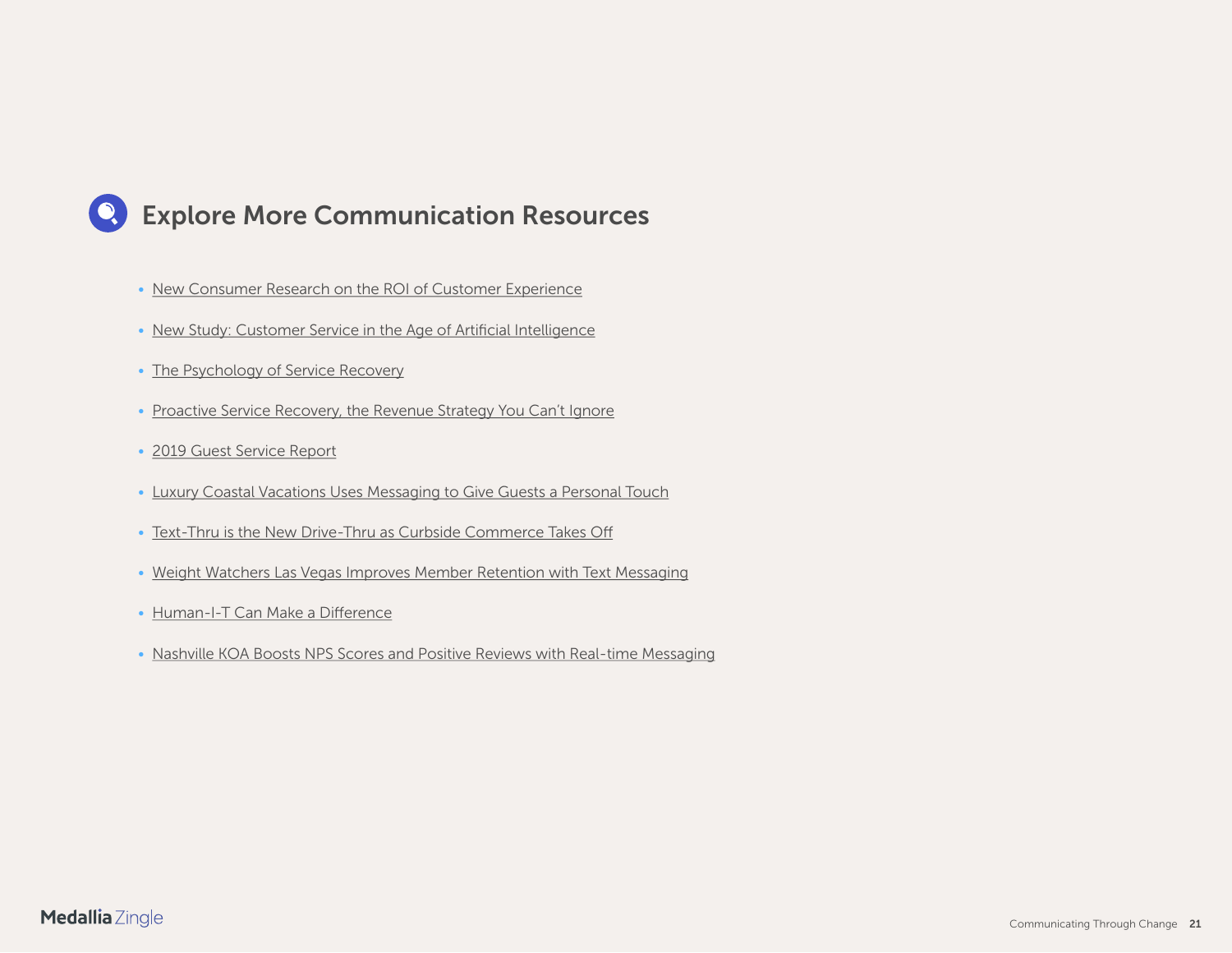### <span id="page-20-0"></span>**Explore More Communication Resources**

- [New Consumer Research on the ROI of Customer Experience](https://www.zingle.com/new-consumer-research-on-the-roi-of-guest-experience/)
- [New Study: Customer Service in the Age of Artificial Intelligence](https://www.zingle.com/new-study-customer-service-in-the-age-of-artificial-intelligence/)
- [The Psychology of Service Recovery](https://www.zingle.com/the-psychology-of-service-recovery/)
- [Proactive Service Recovery, the Revenue Strategy You Can't Ignore](https://www.zingle.com/free-ebook-proactive-service-recovery-the-revenue-strategy-you-cant-ignore/)
- [2019 Guest Service Report](https://www.zingle.com/new-research-exposes-hidden-service-risks-and-opportunities-for-hoteliers/)
- [Luxury Coastal Vacations Uses Messaging to Give Guests a Personal Touch](https://www.zingle.com/luxury-coastal-vacations-uses-messaging-to-give-guests-a-personal-touch/)
- [Text-Thru is the New Drive-Thru as Curbside Commerce Takes Off](https://www.zingle.com/blog-text-thru-is-the-new-drive-thru-as-curbside-commerce-takes-off/)
- [Weight Watchers Las Vegas Improves Member Retention with Text Messaging](https://www.zingle.com/case-study-weight-watchers-las-vegas-improves-member-retention-with-text-messaging/)
- [Human-I-T Can Make a Difference](https://www.zingle.com/blog-tech-community-medallia-impact-cloud-nonprofit-human-i-t/)
- [Nashville KOA Boosts NPS Scores and Positive Reviews with Real-time Messaging](https://www.zingle.com/nashville-koa-boosts-nps-scores-and-positive-reviews-with-real-time-messaging/)